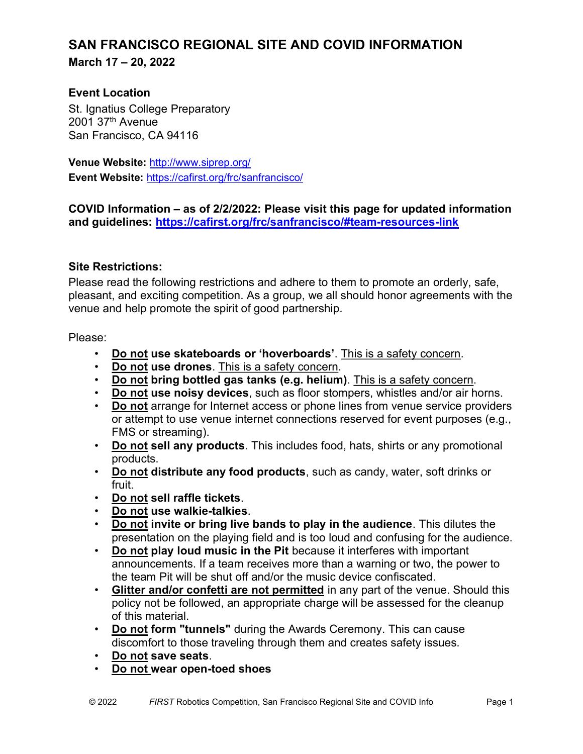## SAN FRANCISCO REGIONAL SITE AND COVID INFORMATION March 17 – 20, 2022

## Event Location

St. Ignatius College Preparatory 2001 37th Avenue San Francisco, CA 94116

Venue Website: http://www.siprep.org/ Event Website: https://cafirst.org/frc/sanfrancisco/

## COVID Information – as of 2/2/2022: Please visit this page for updated information and guidelines: https://cafirst.org/frc/sanfrancisco/#team-resources-link

## Site Restrictions:

Please read the following restrictions and adhere to them to promote an orderly, safe, pleasant, and exciting competition. As a group, we all should honor agreements with the venue and help promote the spirit of good partnership.

Please:

- Do not use skateboards or 'hoverboards'. This is a safety concern.
- Do not use drones. This is a safety concern.
- Do not bring bottled gas tanks (e.g. helium). This is a safety concern.
- Do not use noisy devices, such as floor stompers, whistles and/or air horns.
- Do not arrange for Internet access or phone lines from venue service providers or attempt to use venue internet connections reserved for event purposes (e.g., FMS or streaming).
- Do not sell any products. This includes food, hats, shirts or any promotional products.
- Do not distribute any food products, such as candy, water, soft drinks or fruit.
- Do not sell raffle tickets.
- Do not use walkie-talkies.
- Do not invite or bring live bands to play in the audience. This dilutes the presentation on the playing field and is too loud and confusing for the audience.
- Do not play loud music in the Pit because it interferes with important announcements. If a team receives more than a warning or two, the power to the team Pit will be shut off and/or the music device confiscated.
- Glitter and/or confetti are not permitted in any part of the venue. Should this policy not be followed, an appropriate charge will be assessed for the cleanup of this material.
- Do not form "tunnels" during the Awards Ceremony. This can cause discomfort to those traveling through them and creates safety issues.
- Do not save seats.
- Do not wear open-toed shoes